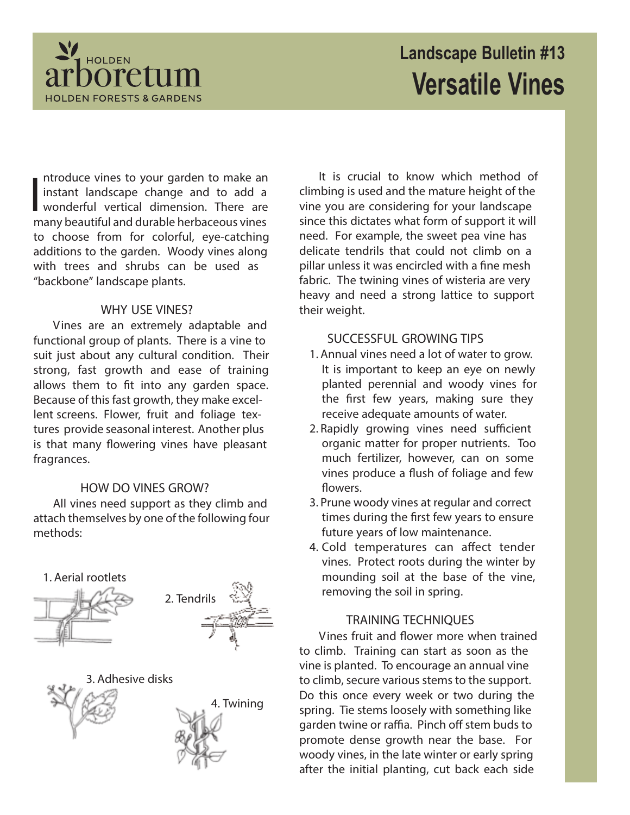

# **Landscape Bulletin #13 Versatile Vines**

 $\prod_{\alpha}$ ntroduce vines to your garden to make an instant landscape change and to add a wonderful vertical dimension. There are many beautiful and durable herbaceous vines to choose from for colorful, eye-catching additions to the garden. Woody vines along with trees and shrubs can be used as "backbone" landscape plants.

## **WHY USE VINES?**

Vines are an extremely adaptable and functional group of plants. There is a vine to suit just about any cultural condition. Their strong, fast growth and ease of training allows them to fit into any garden space. Because of this fast growth, they make excellent screens. Flower, fruit and foliage textures provide seasonal interest. Another plus is that many flowering vines have pleasant fragrances.

# **HOW DO VINES GROW?**

All vines need support as they climb and attach themselves by one of the following four methods:





It is crucial to know which method of climbing is used and the mature height of the vine you are considering for your landscape since this dictates what form of support it will need. For example, the sweet pea vine has delicate tendrils that could not climb on a pillar unless it was encircled with a fine mesh fabric. The twining vines of wisteria are very heavy and need a strong lattice to support their weight.

# **SUCCESSFUL GROWING TIPS**

- 1. Annual vines need a lot of water to grow. It is important to keep an eye on newly planted perennial and woody vines for the first few years, making sure they receive adequate amounts of water.
- 2. Rapidly growing vines need sufficient organic matter for proper nutrients. Too much fertilizer, however, can on some vines produce a flush of foliage and few flowers.
- 3. Prune woody vines at regular and correct times during the first few years to ensure future years of low maintenance.
- 4. Cold temperatures can affect tender vines. Protect roots during the winter by mounding soil at the base of the vine, removing the soil in spring.

## **TRAINING TECHNIQUES**

Vines fruit and flower more when trained to climb. Training can start as soon as the vine is planted. To encourage an annual vine to climb, secure various stems to the support. Do this once every week or two during the spring. Tie stems loosely with something like garden twine or raffia. Pinch off stem buds to promote dense growth near the base. For woody vines, in the late winter or early spring after the initial planting, cut back each side